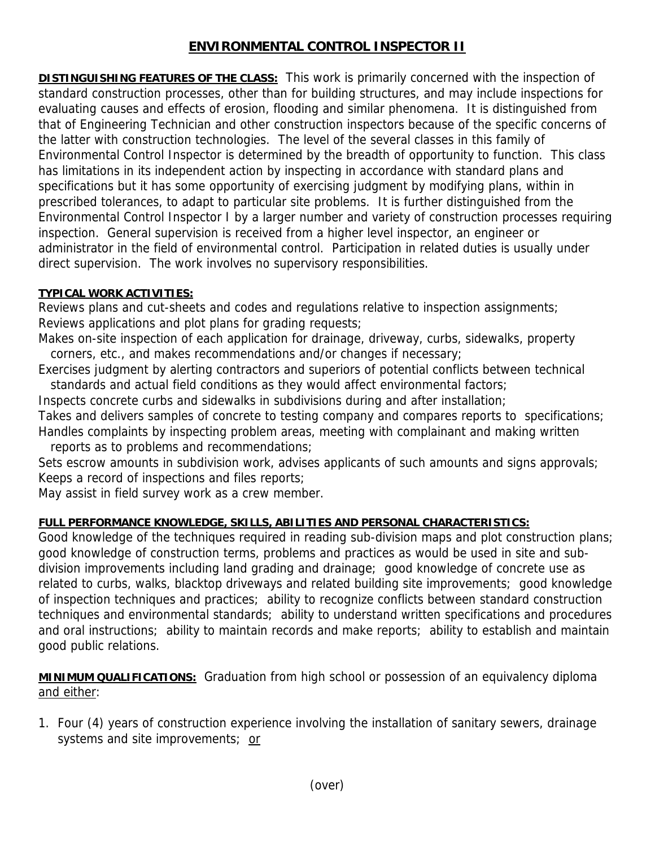## **ENVIRONMENTAL CONTROL INSPECTOR II**

**DISTINGUISHING FEATURES OF THE CLASS:** This work is primarily concerned with the inspection of standard construction processes, other than for building structures, and may include inspections for evaluating causes and effects of erosion, flooding and similar phenomena. It is distinguished from that of Engineering Technician and other construction inspectors because of the specific concerns of the latter with construction technologies. The level of the several classes in this family of Environmental Control Inspector is determined by the breadth of opportunity to function. This class has limitations in its independent action by inspecting in accordance with standard plans and specifications but it has some opportunity of exercising judgment by modifying plans, within in prescribed tolerances, to adapt to particular site problems. It is further distinguished from the Environmental Control Inspector I by a larger number and variety of construction processes requiring inspection. General supervision is received from a higher level inspector, an engineer or administrator in the field of environmental control. Participation in related duties is usually under direct supervision. The work involves no supervisory responsibilities.

## **TYPICAL WORK ACTIVITIES:**

Reviews plans and cut-sheets and codes and regulations relative to inspection assignments; Reviews applications and plot plans for grading requests;

Makes on-site inspection of each application for drainage, driveway, curbs, sidewalks, property corners, etc., and makes recommendations and/or changes if necessary;

Exercises judgment by alerting contractors and superiors of potential conflicts between technical standards and actual field conditions as they would affect environmental factors;

Inspects concrete curbs and sidewalks in subdivisions during and after installation; Takes and delivers samples of concrete to testing company and compares reports to specifications; Handles complaints by inspecting problem areas, meeting with complainant and making written

reports as to problems and recommendations;

Sets escrow amounts in subdivision work, advises applicants of such amounts and signs approvals; Keeps a record of inspections and files reports;

May assist in field survey work as a crew member.

## **FULL PERFORMANCE KNOWLEDGE, SKILLS, ABILITIES AND PERSONAL CHARACTERISTICS:**

Good knowledge of the techniques required in reading sub-division maps and plot construction plans; good knowledge of construction terms, problems and practices as would be used in site and subdivision improvements including land grading and drainage; good knowledge of concrete use as related to curbs, walks, blacktop driveways and related building site improvements; good knowledge of inspection techniques and practices; ability to recognize conflicts between standard construction techniques and environmental standards; ability to understand written specifications and procedures and oral instructions; ability to maintain records and make reports; ability to establish and maintain good public relations.

**MINIMUM QUALIFICATIONS:** Graduation from high school or possession of an equivalency diploma and either:

1. Four (4) years of construction experience involving the installation of sanitary sewers, drainage systems and site improvements; or